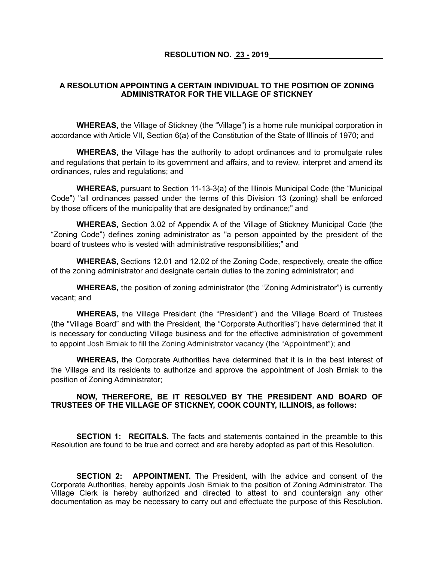## **A RESOLUTION APPOINTING A CERTAIN INDIVIDUAL TO THE POSITION OF ZONING ADMINISTRATOR FOR THE VILLAGE OF STICKNEY**

**WHEREAS,** the Village of Stickney (the "Village") is a home rule municipal corporation in accordance with Article VII, Section 6(a) of the Constitution of the State of Illinois of 1970; and

**WHEREAS,** the Village has the authority to adopt ordinances and to promulgate rules and regulations that pertain to its government and affairs, and to review, interpret and amend its ordinances, rules and regulations; and

**WHEREAS,** pursuant to Section 11-13-3(a) of the Illinois Municipal Code (the "Municipal Code") "all ordinances passed under the terms of this Division 13 (zoning) shall be enforced by those officers of the municipality that are designated by ordinance;" and

**WHEREAS,** Section 3.02 of Appendix A of the Village of Stickney Municipal Code (the "Zoning Code") defines zoning administrator as "a person appointed by the president of the board of trustees who is vested with administrative responsibilities;" and

**WHEREAS,** Sections 12.01 and 12.02 of the Zoning Code, respectively, create the office of the zoning administrator and designate certain duties to the zoning administrator; and

**WHEREAS,** the position of zoning administrator (the "Zoning Administrator") is currently vacant; and

**WHEREAS,** the Village President (the "President") and the Village Board of Trustees (the "Village Board" and with the President, the "Corporate Authorities") have determined that it is necessary for conducting Village business and for the effective administration of government to appoint Josh Brniak to fill the Zoning Administrator vacancy (the "Appointment"); and

**WHEREAS,** the Corporate Authorities have determined that it is in the best interest of the Village and its residents to authorize and approve the appointment of Josh Brniak to the position of Zoning Administrator;

## **NOW, THEREFORE, BE IT RESOLVED BY THE PRESIDENT AND BOARD OF TRUSTEES OF THE VILLAGE OF STICKNEY, COOK COUNTY, ILLINOIS, as follows:**

**SECTION 1: RECITALS.** The facts and statements contained in the preamble to this Resolution are found to be true and correct and are hereby adopted as part of this Resolution.

**SECTION 2: APPOINTMENT.** The President, with the advice and consent of the Corporate Authorities, hereby appoints Josh Brniak to the position of Zoning Administrator. The Village Clerk is hereby authorized and directed to attest to and countersign any other documentation as may be necessary to carry out and effectuate the purpose of this Resolution.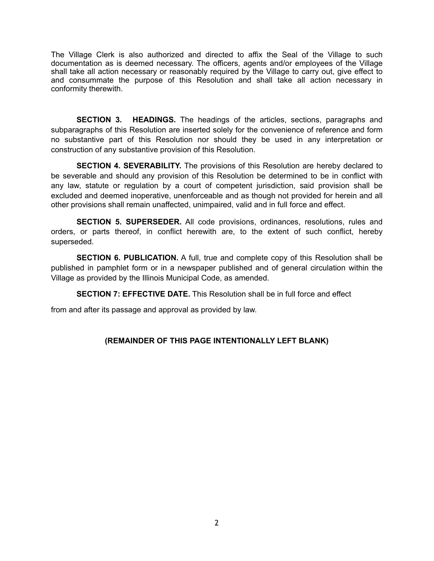The Village Clerk is also authorized and directed to affix the Seal of the Village to such documentation as is deemed necessary. The officers, agents and/or employees of the Village shall take all action necessary or reasonably required by the Village to carry out, give effect to and consummate the purpose of this Resolution and shall take all action necessary in conformity therewith.

**SECTION 3. HEADINGS.** The headings of the articles, sections, paragraphs and subparagraphs of this Resolution are inserted solely for the convenience of reference and form no substantive part of this Resolution nor should they be used in any interpretation or construction of any substantive provision of this Resolution.

**SECTION 4. SEVERABILITY.** The provisions of this Resolution are hereby declared to be severable and should any provision of this Resolution be determined to be in conflict with any law, statute or regulation by a court of competent jurisdiction, said provision shall be excluded and deemed inoperative, unenforceable and as though not provided for herein and all other provisions shall remain unaffected, unimpaired, valid and in full force and effect.

**SECTION 5. SUPERSEDER.** All code provisions, ordinances, resolutions, rules and orders, or parts thereof, in conflict herewith are, to the extent of such conflict, hereby superseded.

**SECTION 6. PUBLICATION.** A full, true and complete copy of this Resolution shall be published in pamphlet form or in a newspaper published and of general circulation within the Village as provided by the Illinois Municipal Code, as amended.

**SECTION 7: EFFECTIVE DATE.** This Resolution shall be in full force and effect

from and after its passage and approval as provided by law.

## **(REMAINDER OF THIS PAGE INTENTIONALLY LEFT BLANK)**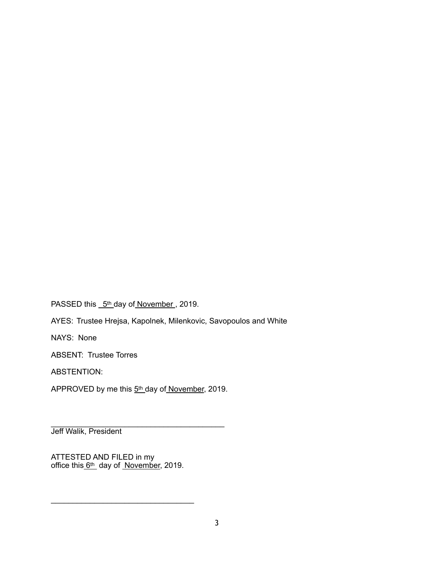PASSED this 5th day of November, 2019.

AYES: Trustee Hrejsa, Kapolnek, Milenkovic, Savopoulos and White

NAYS: None

ABSENT: Trustee Torres

ABSTENTION:

APPROVED by me this 5<sup>th</sup> day of November, 2019.

\_\_\_\_\_\_\_\_\_\_\_\_\_\_\_\_\_\_\_\_\_\_\_\_\_\_\_\_\_\_\_\_\_\_\_\_\_\_\_\_ Jeff Walik, President

ATTESTED AND FILED in my office this 6<sup>th</sup> day of November, 2019.

\_\_\_\_\_\_\_\_\_\_\_\_\_\_\_\_\_\_\_\_\_\_\_\_\_\_\_\_\_\_\_\_\_